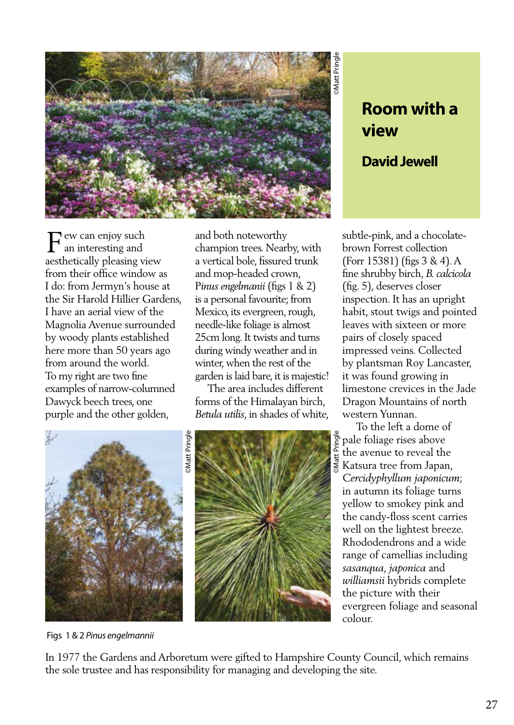

## **Room with a view**

## **David Jewell**

F ew can enjoy such<br>an interesting and an interesting and aesthetically pleasing view from their office window as I do: from Jermyn's house at the Sir Harold Hillier Gardens, I have an aerial view of the Magnolia Avenue surrounded by woody plants established here more than 50 years ago from around the world. To my right are two fine examples of narrow-columned Dawyck beech trees, one purple and the other golden,

and both noteworthy champion trees. Nearby, with a vertical bole, fissured trunk and mop-headed crown, P*inus engelmanii* (figs 1 & 2) is a personal favourite; from Mexico, its evergreen, rough, needle-like foliage is almost 25cm long. It twists and turns during windy weather and in winter, when the rest of the garden is laid bare, it is majestic!

 The area includes different forms of the Himalayan birch, *Betula utilis*, in shades of white,





subtle-pink, and a chocolatebrown Forrest collection (Forr 15381) (figs 3 & 4). A fine shrubby birch, *B. calcicola*  (fig. 5), deserves closer inspection. It has an upright habit, stout twigs and pointed leaves with sixteen or more pairs of closely spaced impressed veins. Collected by plantsman Roy Lancaster, it was found growing in limestone crevices in the Jade Dragon Mountains of north western Yunnan.

©Matt Pringle To the left a dome of pale foliage rises above the avenue to reveal the Katsura tree from Japan, *Cercidyphyllum japonicum*; in autumn its foliage turns yellow to smokey pink and the candy-floss scent carries well on the lightest breeze. Rhododendrons and a wide range of camellias including *sasanqua, japonica* and *williamsii* hybrids complete the picture with their evergreen foliage and seasonal colour.

Figs 1 & 2 *Pinus engelmannii*

In 1977 the Gardens and Arboretum were gifted to Hampshire County Council, which remains the sole trustee and has responsibility for managing and developing the site.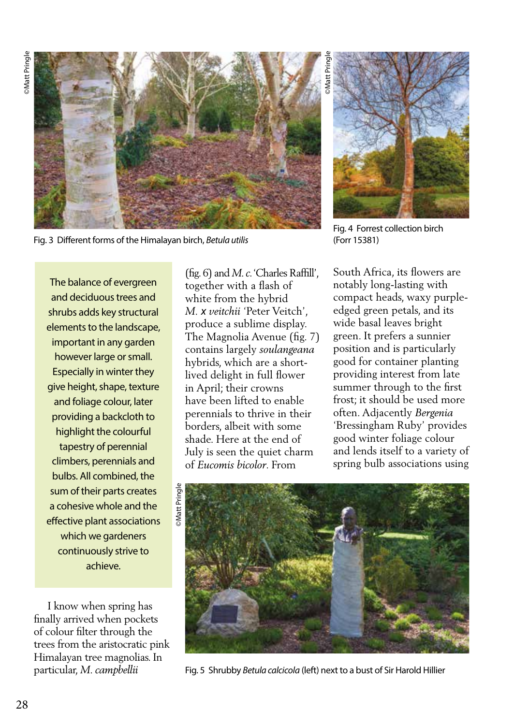

Fig. 3 Different forms of the Himalayan birch, *Betula utilis*

The balance of evergreen and deciduous trees and shrubs adds key structural elements to the landscape, important in any garden however large or small. Especially in winter they give height, shape, texture and foliage colour, later providing a backcloth to highlight the colourful tapestry of perennial climbers, perennials and bulbs. All combined, the sum of their parts creates a cohesive whole and the effective plant associations which we gardeners continuously strive to achieve.

 I know when spring has finally arrived when pockets of colour filter through the trees from the aristocratic pink Himalayan tree magnolias. In particular, *M. campbellii* 

(fig. 6) and *M. c*. 'Charles Raffill', together with a flash of white from the hybrid *M. x veitchii* 'Peter Veitch', produce a sublime display. The Magnolia Avenue (fig. 7) contains largely *soulangeana*  hybrids, which are a shortlived delight in full flower in April; their crowns have been lifted to enable perennials to thrive in their borders, albeit with some shade. Here at the end of July is seen the quiet charm of *Eucomis bicolor*. From



Fig. 4 Forrest collection birch (Forr 15381)

South Africa, its flowers are notably long-lasting with compact heads, waxy purpleedged green petals, and its wide basal leaves bright green. It prefers a sunnier position and is particularly good for container planting providing interest from late summer through to the first frost; it should be used more often. Adjacently *Bergenia* 'Bressingham Ruby' provides good winter foliage colour and lends itself to a variety of spring bulb associations using



Fig. 5 Shrubby *Betula calcicola* (left) next to a bust of Sir Harold Hillier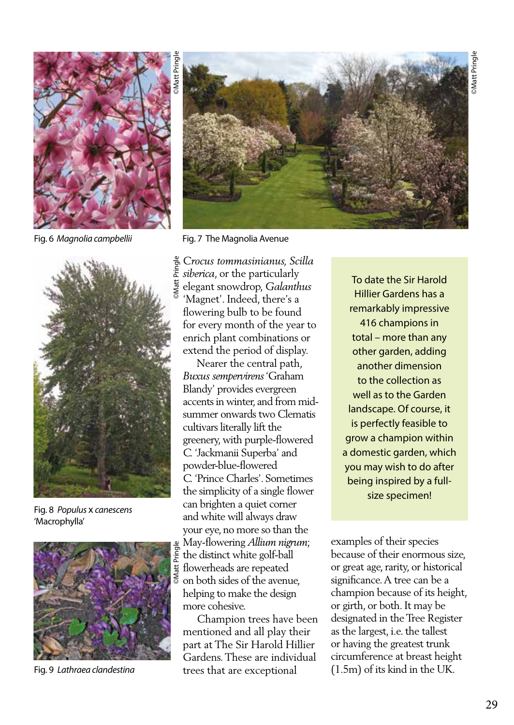![](_page_2_Picture_1.jpeg)

Fig. 6 *Magnolia campbellii* Fig. 7 The Magnolia Avenue

![](_page_2_Picture_3.jpeg)

Fig. 8 *Populus* x *canescens* 'Macrophylla'

![](_page_2_Picture_5.jpeg)

Fig. 9 *Lathraea clandestina*

![](_page_2_Picture_7.jpeg)

*Crocus tommasinianus, Scilla siberica*, or the particularly elegant snowdrop, *Galanthus* 'Magnet'. Indeed, there's a flowering bulb to be found for every month of the year to enrich plant combinations or extend the period of display.

 Nearer the central path, *Buxus sempervirens* 'Graham Blandy' provides evergreen accents in winter, and from midsummer onwards two Clematis cultivars literally lift the greenery, with purple-flowered *C.* 'Jackmanii Superba' and powder-blue-flowered *C.* 'Prince Charles'. Sometimes the simplicity of a single flower can brighten a quiet corner and white will always draw your eye, no more so than the May-flowering *Allium nigrum*; the distinct white golf-ball flowerheads are repeated on both sides of the avenue, helping to make the design more cohesive.

 Champion trees have been mentioned and all play their part at The Sir Harold Hillier Gardens. These are individual trees that are exceptional

To date the Sir Harold Hillier Gardens has a remarkably impressive 416 champions in total – more than any other garden, adding another dimension to the collection as well as to the Garden landscape. Of course, it is perfectly feasible to grow a champion within a domestic garden, which you may wish to do after being inspired by a fullsize specimen!

examples of their species because of their enormous size, or great age, rarity, or historical significance. A tree can be a champion because of its height, or girth, or both. It may be designated in the Tree Register as the largest, i.e. the tallest or having the greatest trunk circumference at breast height (1.5m) of its kind in the UK.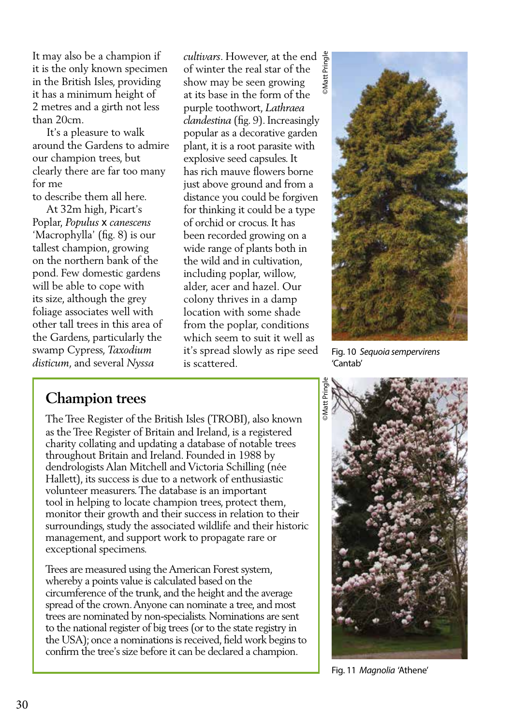It may also be a champion if it is the only known specimen in the British Isles, providing it has a minimum height of 2 metres and a girth not less than 20cm.

 It's a pleasure to walk around the Gardens to admire our champion trees, but clearly there are far too many for me

to describe them all here. At 32m high, Picart's

Poplar, *Populus* x *canescens*  'Macrophylla' (fig. 8) is our tallest champion, growing on the northern bank of the pond. Few domestic gardens will be able to cope with its size, although the grey foliage associates well with other tall trees in this area of the Gardens, particularly the swamp Cypress, *Taxodium disticum*, and several *Nyssa* 

©Matt Pringle *cultivars*. However, at the end of winter the real star of the show may be seen growing at its base in the form of the purple toothwort, *Lathraea clandestina* (fig. 9). Increasingly popular as a decorative garden plant, it is a root parasite with explosive seed capsules. It has rich mauve flowers borne just above ground and from a distance you could be forgiven for thinking it could be a type of orchid or crocus. It has been recorded growing on a wide range of plants both in the wild and in cultivation, including poplar, willow, alder, acer and hazel. Our colony thrives in a damp location with some shade from the poplar, conditions which seem to suit it well as it's spread slowly as ripe seed is scattered.

Fig. 10 *Sequoia sempervirens*  'Cantab'

## **Champion trees**

The Tree Register of the British Isles (TROBI), also known as the Tree Register of Britain and Ireland, is a registered charity collating and updating a database of notable trees throughout Britain and Ireland. Founded in 1988 by dendrologists Alan Mitchell and Victoria Schilling (née Hallett), its success is due to a network of enthusiastic volunteer measurers. The database is an important tool in helping to locate champion trees, protect them, monitor their growth and their success in relation to their surroundings, study the associated wildlife and their historic management, and support work to propagate rare or exceptional specimens.

Trees are measured using the American Forest system, whereby a points value is calculated based on the circumference of the trunk, and the height and the average spread of the crown. Anyone can nominate a tree, and most trees are nominated by non-specialists. Nominations are sent to the national register of big trees (or to the state registry in the USA); once a nominations is received, field work begins to confirm the tree's size before it can be declared a champion.

![](_page_3_Picture_10.jpeg)

Fig. 11 *Magnolia* 'Athene'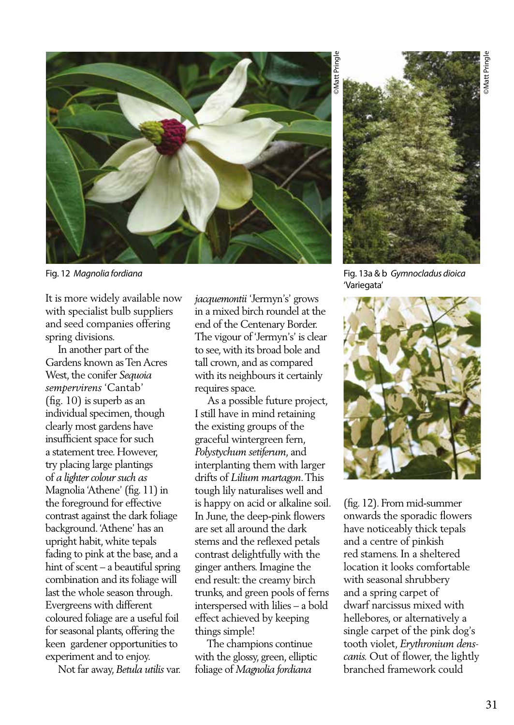![](_page_4_Picture_1.jpeg)

It is more widely available now with specialist bulb suppliers and seed companies offering spring divisions.

 In another part of the Gardens known as Ten Acres West, the conifer *Sequoia sempervirens* 'Cantab' (fig. 10) is superb as an individual specimen, though clearly most gardens have insufficient space for such a statement tree. However, try placing large plantings of *a lighter colour such as*  Magnolia 'Athene' (fig. 11) in the foreground for effective contrast against the dark foliage background. 'Athene' has an upright habit, white tepals fading to pink at the base, and a hint of scent – a beautiful spring combination and its foliage will last the whole season through. Evergreens with different coloured foliage are a useful foil for seasonal plants, offering the keen gardener opportunities to experiment and to enjoy.

Not far away, *Betula utilis* var.

*jacquemontii* 'Jermyn's' grows in a mixed birch roundel at the end of the Centenary Border. The vigour of 'Jermyn's' is clear to see, with its broad bole and tall crown, and as compared with its neighbours it certainly requires space.

 As a possible future project, I still have in mind retaining the existing groups of the graceful wintergreen fern, *Polystychum setiferum*, and interplanting them with larger drifts of *Lilium martagon*. This tough lily naturalises well and is happy on acid or alkaline soil. In June, the deep-pink flowers are set all around the dark stems and the reflexed petals contrast delightfully with the ginger anthers. Imagine the end result: the creamy birch trunks, and green pools of ferns interspersed with lilies – a bold effect achieved by keeping things simple!

 The champions continue with the glossy, green, elliptic foliage of *Magnolia fordiana*

![](_page_4_Picture_9.jpeg)

Fig. 12 *Magnolia fordiana* Fig. 13a & b *Gymnocladus dioica* 'Variegata'

![](_page_4_Picture_11.jpeg)

(fig. 12). From mid-summer onwards the sporadic flowers have noticeably thick tepals and a centre of pinkish red stamens. In a sheltered location it looks comfortable with seasonal shrubbery and a spring carpet of dwarf narcissus mixed with hellebores, or alternatively a single carpet of the pink dog's tooth violet, *Erythronium denscanis.* Out of flower, the lightly branched framework could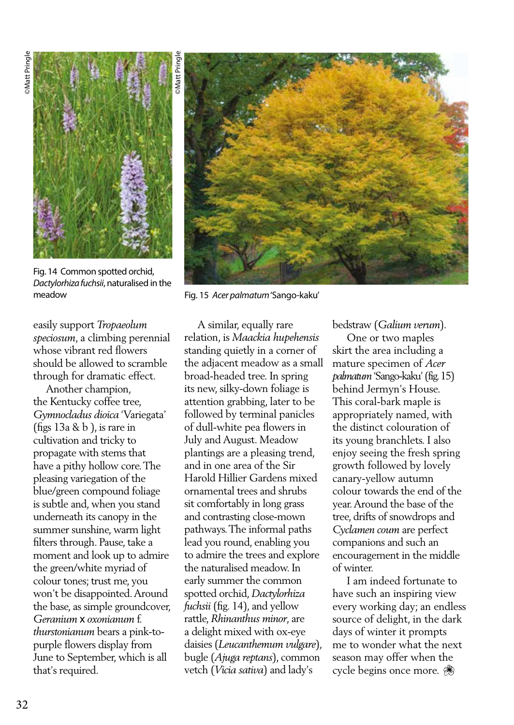![](_page_5_Picture_1.jpeg)

Fig. 14 Common spotted orchid, *Dactylorhiza fuchsii*, naturalised in the meadow

easily support *Tropaeolum speciosum*, a climbing perennial whose vibrant red flowers should be allowed to scramble through for dramatic effect.

 Another champion, the Kentucky coffee tree, *Gymnocladus dioica* 'Variegata' (figs  $13a \& b$ ), is rare in cultivation and tricky to propagate with stems that have a pithy hollow core. The pleasing variegation of the blue/green compound foliage is subtle and, when you stand underneath its canopy in the summer sunshine, warm light filters through. Pause, take a moment and look up to admire the green/white myriad of colour tones; trust me, you won't be disappointed. Around the base, as simple groundcover, *Geranium* x *oxonianum* f. *thurstonianum* bears a pink-topurple flowers display from June to September, which is all that's required.

![](_page_5_Picture_5.jpeg)

Fig. 15 *Acer palmatum* 'Sango-kaku'

 A similar, equally rare relation, is *Maackia hupehensis*  standing quietly in a corner of the adjacent meadow as a small broad-headed tree. In spring its new, silky-down foliage is attention grabbing, later to be followed by terminal panicles of dull-white pea flowers in July and August. Meadow plantings are a pleasing trend, and in one area of the Sir Harold Hillier Gardens mixed ornamental trees and shrubs sit comfortably in long grass and contrasting close-mown pathways. The informal paths lead you round, enabling you to admire the trees and explore the naturalised meadow. In early summer the common spotted orchid, *Dactylorhiza fuchsii* (fig. 14), and yellow rattle, *Rhinanthus minor*, are a delight mixed with ox-eye daisies (*Leucanthemum vulgare*), bugle (*Ajuga reptans*), common vetch (*Vicia sativa*) and lady's

bedstraw (*Galium verum*).

 One or two maples skirt the area including a mature specimen of *Acer palmatum* 'Sango-kaku' (fig. 15) behind Jermyn's House. This coral-bark maple is appropriately named, with the distinct colouration of its young branchlets. I also enjoy seeing the fresh spring growth followed by lovely canary-yellow autumn colour towards the end of the year. Around the base of the tree, drifts of snowdrops and *Cyclamen coum* are perfect companions and such an encouragement in the middle of winter.

 I am indeed fortunate to have such an inspiring view every working day; an endless source of delight, in the dark days of winter it prompts me to wonder what the next season may offer when the cycle begins once more.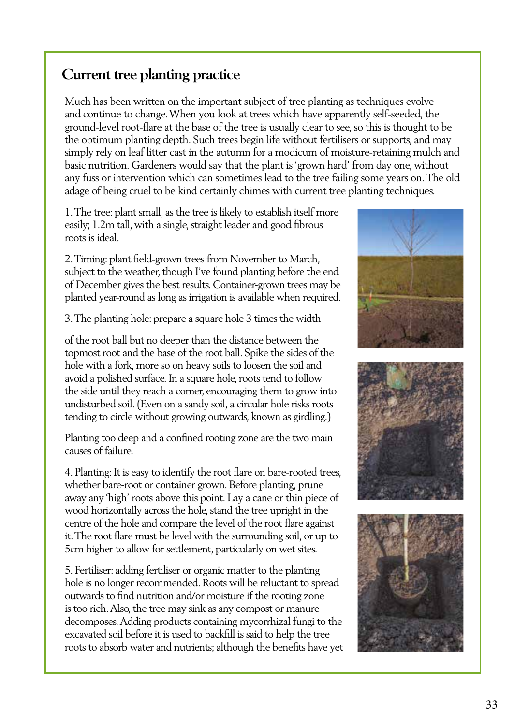## **Current tree planting practice**

Much has been written on the important subject of tree planting as techniques evolve and continue to change. When you look at trees which have apparently self-seeded, the ground-level root-flare at the base of the tree is usually clear to see, so this is thought to be the optimum planting depth. Such trees begin life without fertilisers or supports, and may simply rely on leaf litter cast in the autumn for a modicum of moisture-retaining mulch and basic nutrition. Gardeners would say that the plant is 'grown hard' from day one, without any fuss or intervention which can sometimes lead to the tree failing some years on. The old adage of being cruel to be kind certainly chimes with current tree planting techniques.

1. The tree: plant small, as the tree is likely to establish itself more easily; 1.2m tall, with a single, straight leader and good fibrous roots is ideal.

2. Timing: plant field-grown trees from November to March, subject to the weather, though I've found planting before the end of December gives the best results. Container-grown trees may be planted year-round as long as irrigation is available when required.

3. The planting hole: prepare a square hole 3 times the width

of the root ball but no deeper than the distance between the topmost root and the base of the root ball. Spike the sides of the hole with a fork, more so on heavy soils to loosen the soil and avoid a polished surface. In a square hole, roots tend to follow the side until they reach a corner, encouraging them to grow into undisturbed soil. (Even on a sandy soil, a circular hole risks roots tending to circle without growing outwards, known as girdling.)

Planting too deep and a confined rooting zone are the two main causes of failure.

4. Planting: It is easy to identify the root flare on bare-rooted trees, whether bare-root or container grown. Before planting, prune away any 'high' roots above this point. Lay a cane or thin piece of wood horizontally across the hole, stand the tree upright in the centre of the hole and compare the level of the root flare against it. The root flare must be level with the surrounding soil, or up to 5cm higher to allow for settlement, particularly on wet sites.

5. Fertiliser: adding fertiliser or organic matter to the planting hole is no longer recommended. Roots will be reluctant to spread outwards to find nutrition and/or moisture if the rooting zone is too rich. Also, the tree may sink as any compost or manure decomposes. Adding products containing mycorrhizal fungi to the excavated soil before it is used to backfill is said to help the tree roots to absorb water and nutrients; although the benefits have yet

![](_page_6_Picture_9.jpeg)

![](_page_6_Picture_10.jpeg)

![](_page_6_Picture_11.jpeg)